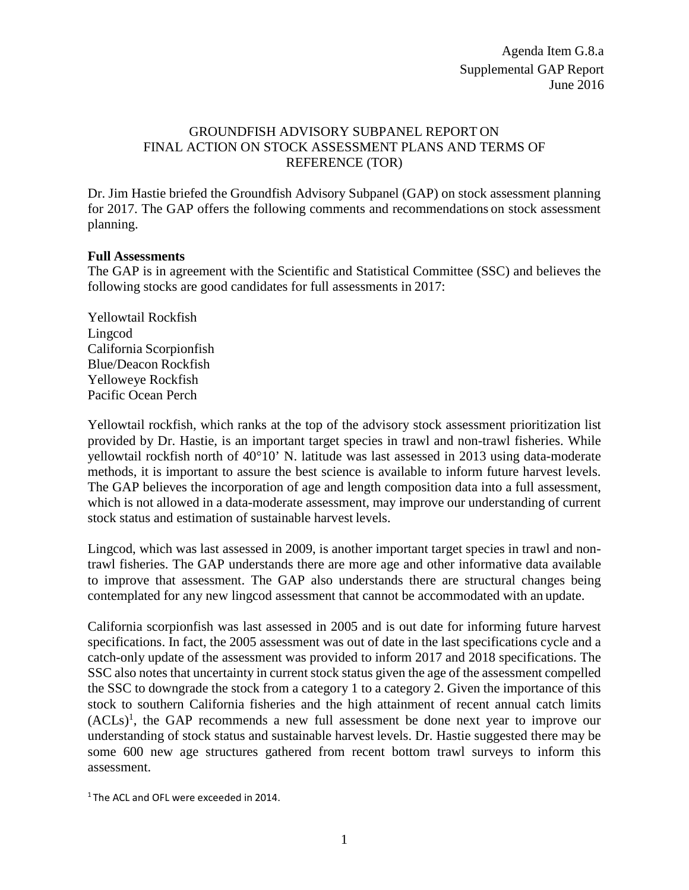## GROUNDFISH ADVISORY SUBPANEL REPORT ON FINAL ACTION ON STOCK ASSESSMENT PLANS AND TERMS OF REFERENCE (TOR)

Dr. Jim Hastie briefed the Groundfish Advisory Subpanel (GAP) on stock assessment planning for 2017. The GAP offers the following comments and recommendations on stock assessment planning.

## **Full Assessments**

The GAP is in agreement with the Scientific and Statistical Committee (SSC) and believes the following stocks are good candidates for full assessments in 2017:

Yellowtail Rockfish Lingcod California Scorpionfish Blue/Deacon Rockfish Yelloweye Rockfish Pacific Ocean Perch

Yellowtail rockfish, which ranks at the top of the advisory stock assessment prioritization list provided by Dr. Hastie, is an important target species in trawl and non-trawl fisheries. While yellowtail rockfish north of 40°10' N. latitude was last assessed in 2013 using data-moderate methods, it is important to assure the best science is available to inform future harvest levels. The GAP believes the incorporation of age and length composition data into a full assessment, which is not allowed in a data-moderate assessment, may improve our understanding of current stock status and estimation of sustainable harvest levels.

Lingcod, which was last assessed in 2009, is another important target species in trawl and nontrawl fisheries. The GAP understands there are more age and other informative data available to improve that assessment. The GAP also understands there are structural changes being contemplated for any new lingcod assessment that cannot be accommodated with an update.

California scorpionfish was last assessed in 2005 and is out date for informing future harvest specifications. In fact, the 2005 assessment was out of date in the last specifications cycle and a catch-only update of the assessment was provided to inform 2017 and 2018 specifications. The SSC also notes that uncertainty in current stock status given the age of the assessment compelled the SSC to downgrade the stock from a category 1 to a category 2. Given the importance of this stock to southern California fisheries and the high attainment of recent annual catch limits  $(ACLs)<sup>1</sup>$ , the GAP recommends a new full assessment be done next year to improve our understanding of stock status and sustainable harvest levels. Dr. Hastie suggested there may be some 600 new age structures gathered from recent bottom trawl surveys to inform this assessment.

1 The ACL and OFL were exceeded in 2014.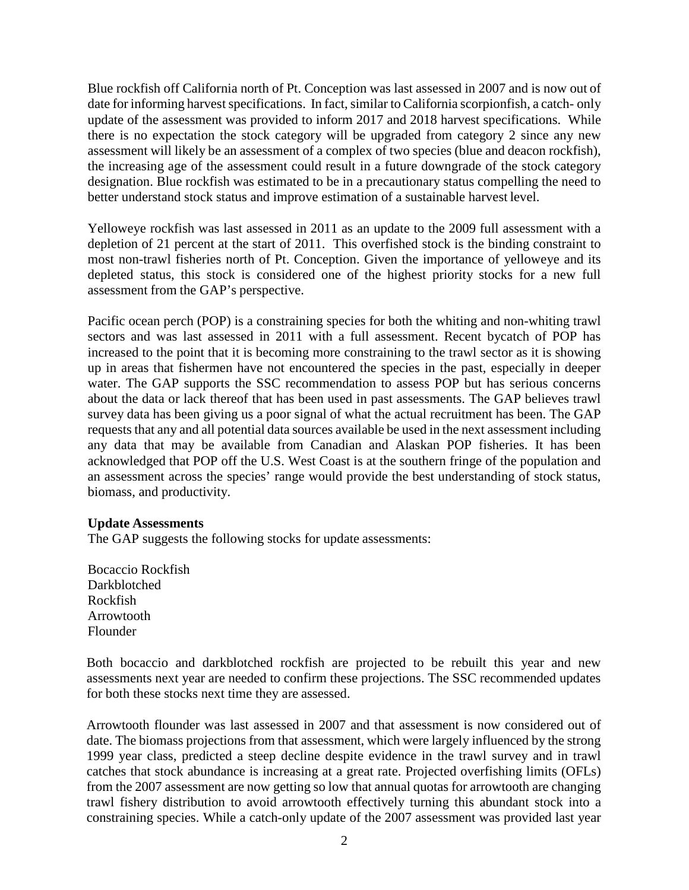Blue rockfish off California north of Pt. Conception was last assessed in 2007 and is now out of date for informing harvest specifications. In fact, similar to California scorpionfish, a catch- only update of the assessment was provided to inform 2017 and 2018 harvest specifications. While there is no expectation the stock category will be upgraded from category 2 since any new assessment will likely be an assessment of a complex of two species (blue and deacon rockfish), the increasing age of the assessment could result in a future downgrade of the stock category designation. Blue rockfish was estimated to be in a precautionary status compelling the need to better understand stock status and improve estimation of a sustainable harvest level.

Yelloweye rockfish was last assessed in 2011 as an update to the 2009 full assessment with a depletion of 21 percent at the start of 2011. This overfished stock is the binding constraint to most non-trawl fisheries north of Pt. Conception. Given the importance of yelloweye and its depleted status, this stock is considered one of the highest priority stocks for a new full assessment from the GAP's perspective.

Pacific ocean perch (POP) is a constraining species for both the whiting and non-whiting trawl sectors and was last assessed in 2011 with a full assessment. Recent bycatch of POP has increased to the point that it is becoming more constraining to the trawl sector as it is showing up in areas that fishermen have not encountered the species in the past, especially in deeper water. The GAP supports the SSC recommendation to assess POP but has serious concerns about the data or lack thereof that has been used in past assessments. The GAP believes trawl survey data has been giving us a poor signal of what the actual recruitment has been. The GAP requests that any and all potential data sources available be used in the next assessment including any data that may be available from Canadian and Alaskan POP fisheries. It has been acknowledged that POP off the U.S. West Coast is at the southern fringe of the population and an assessment across the species' range would provide the best understanding of stock status, biomass, and productivity.

## **Update Assessments**

The GAP suggests the following stocks for update assessments:

Bocaccio Rockfish Darkblotched Rockfish Arrowtooth Flounder

<span id="page-1-0"></span>Both bocaccio and darkblotched rockfish are projected to be rebuilt this year and new assessments next year are needed to confirm these projections. The SSC recommended updates for both these stocks next time they are assessed.

Arrowtooth flounder was last assessed in 2007 and that assessment is now considered out of date. The biomass projections from that assessment, which were largely influenced by the strong 1999 year class, predicted a steep decline despite evidence in the trawl survey and in trawl catches that stock abundance is increasing at a great rate. Projected overfishing limits (OFLs) from the 2007 assessment are now getting so low that annual quotas for arrowtooth are changing trawl fishery distribution to avoid arrowtooth effectively turning this abundant stock into a constraining species. While a catch-only update of the 2007 assessment was provided last year